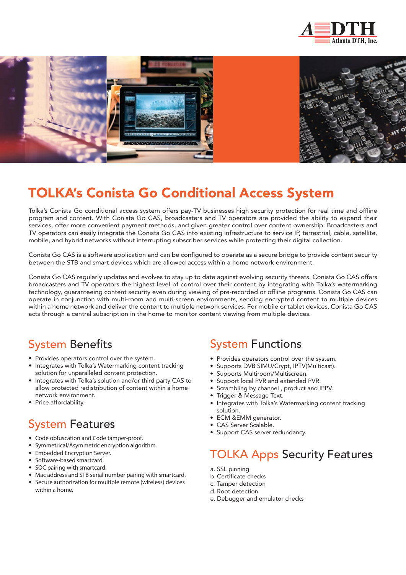





# TOLKA's Conista Go Conditional Access System

Tolka's Conista Go conditional access system offers pay-TV businesses high security protection for real time and offline program and content. With Conista Go CAS, broadcasters and TV operators are provided the ability to expand their services, offer more convenient payment methods, and given greater control over content ownership. Broadcasters and TV operators can easily integrate the Conista Go CAS into existing infrastructure to service IP, terrestrial, cable, satellite, mobile, and hybrid networks without interrupting subscriber services while protecting their digital collection.

Conista Go CAS is a software application and can be configured to operate as a secure bridge to provide content security between the STB and smart devices which are allowed access within a home network environment.

Conista Go CAS regularly updates and evolves to stay up to date against evolving security threats. Conista Go CAS offers broadcasters and TV operators the highest level of control over their content by integrating with Tolka's watermarking technology, guaranteeing content security even during viewing of pre-recorded or offline programs. Conista Go CAS can operate in conjunction with multi-room and multi-screen environments, sending encrypted content to multiple devices within a home network and deliver the content to multiple network services. For mobile or tablet devices, Conista Go CAS acts through a central subscription in the home to monitor content viewing from multiple devices.

#### System Benefits

- Provides operators control over the system.
- Integrates with Tolka's Watermarking content tracking solution for unparalleled content protection.
- Integrates with Tolka's solution and/or third party CAS to allow protected redistribution of content within a home network environment.
- Price affordability.

## System Features

- Code obfuscation and Code tamper-proof.
- Symmetrical/Asymmetric encryption algorithm.
- Embedded Encryption Server.
- Software-based smartcard.
- SOC pairing with smartcard.
- Mac address and STB serial number pairing with smartcard.
- Secure authorization for multiple remote (wireless) devices within a home.

#### System Functions

- Provides operators control over the system.
- Supports DVB SIMU/Crvpt, IPTV(Multicast).
- Supports Multiroom/Multiscreen.
- Support local PVR and extended PVR.
- Scrambling by channel , product and IPPV.
- Trigger & Message Text.
- Integrates with Tolka's Watermarking content tracking solution.
- ECM &EMM generator.
- CAS Server Scalable.
- Support CAS server redundancy.

# TOLKA Apps Security Features

- a. SSL pinning
- b. Certificate checks
- c. Tamper detection
- d. Root detection
- e. Debugger and emulator checks